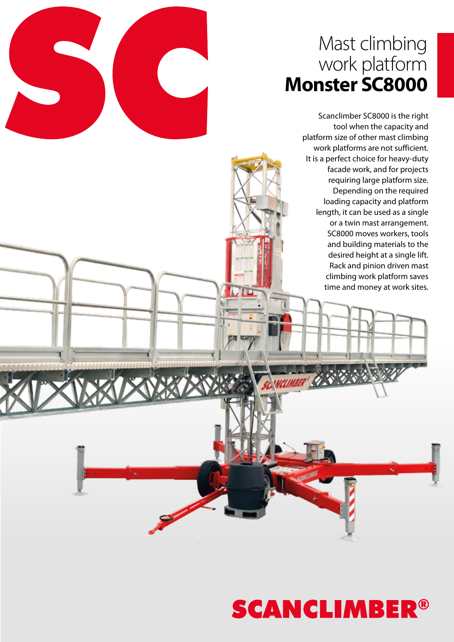### Mast climbing work platform **Monster SC8000**

Scanclimber SC8000 is the right tool when the capacity and platform size of other mast climbing work platforms are not sufficient. It is a perfect choice for heavy-duty facade work, and for projects requiring large platform size. Depending on the required loading capacity and platform length, it can be used as a single or a twin mast arrangement. SC8000 moves workers, tools and building materials to the desired height at a single lift. Rack and pinion driven mast climbing work platform saves time and money at work sites.

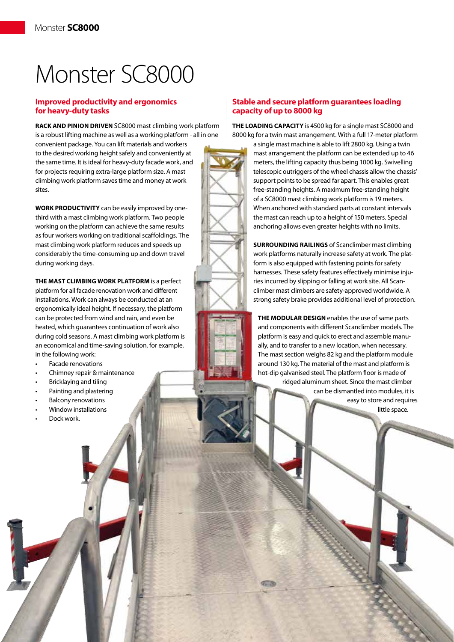## Monster SC8000

#### **Improved productivity and ergonomics for heavy-duty tasks**

**RACK AND PINION DRIVEN** SC8000 mast climbing work platform is a robust lifting machine as well as a working platform - all in one

convenient package. You can lift materials and workers to the desired working height safely and conveniently at the same time. It is ideal for heavy-duty facade work, and for projects requiring extra-large platform size. A mast climbing work platform saves time and money at work sites.

**WORK PRODUCTIVITY** can be easily improved by onethird with a mast climbing work platform. Two people working on the platform can achieve the same results as four workers working on traditional scaffoldings. The mast climbing work platform reduces and speeds up considerably the time-consuming up and down travel during working days.

**THE MAST CLIMBING WORK PLATFORM** is a perfect platform for all facade renovation work and different installations. Work can always be conducted at an ergonomically ideal height. If necessary, the platform can be protected from wind and rain, and even be heated, which guarantees continuation of work also during cold seasons. A mast climbing work platform is an economical and time-saving solution, for example, in the following work:

- Facade renovations
- Chimney repair & maintenance
- **Bricklaying and tiling**
- Painting and plastering
- **Balcony renovations**
- Window installations
- Dock work.

#### **Stable and secure platform guarantees loading capacity of up to 8000 kg**

**THE LOADING CAPACITY** is 4500 kg for a single mast SC8000 and 8000 kg for a twin mast arrangement. With a full 17-meter platform

> a single mast machine is able to lift 2800 kg. Using a twin mast arrangement the platform can be extended up to 46 meters, the lifting capacity thus being 1000 kg. Swivelling telescopic outriggers of the wheel chassis allow the chassis' support points to be spread far apart. This enables great free-standing heights. A maximum free-standing height of a SC8000 mast climbing work platform is 19 meters. When anchored with standard parts at constant intervals the mast can reach up to a height of 150 meters. Special anchoring allows even greater heights with no limits.

**SURROUNDING RAILINGS** of Scanclimber mast climbing work platforms naturally increase safety at work. The platform is also equipped with fastening points for safety harnesses. These safety features effectively minimise injuries incurred by slipping or falling at work site. All Scanclimber mast climbers are safety-approved worldwide. A strong safety brake provides additional level of protection.

**THE MODULAR DESIGN** enables the use of same parts and components with different Scanclimber models. The platform is easy and quick to erect and assemble manually, and to transfer to a new location, when necessary. The mast section weighs 82 kg and the platform module around 130 kg. The material of the mast and platform is hot-dip galvanised steel. The platform floor is made of

ridged aluminum sheet. Since the mast climber can be dismantled into modules, it is easy to store and requires little space.

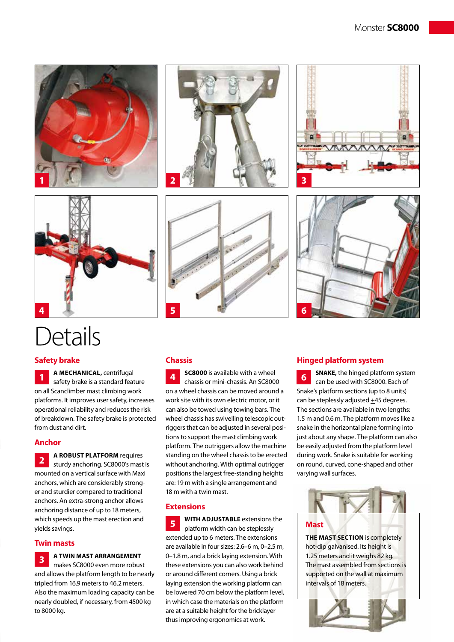



### **Details**

#### **Safety brake**

**A MECHANICAL,** centrifugal safety brake is a standard feature on all Scanclimber mast climbing work platforms. It improves user safety, increases operational reliability and reduces the risk of breakdown. The safety brake is protected from dust and dirt. **1**

#### **Anchor**

**A ROBUST PLATFORM** requires sturdy anchoring. SC8000's mast is mounted on a vertical surface with Maxi anchors, which are considerably stronger and sturdier compared to traditional anchors. An extra-strong anchor allows anchoring distance of up to 18 meters, which speeds up the mast erection and yields savings. **2**

#### **Twin masts**

#### **A TWIN MAST ARRANGEMENT 3**

makes SC8000 even more robust and allows the platform length to be nearly tripled from 16.9 meters to 46.2 meters. Also the maximum loading capacity can be nearly doubled, if necessary, from 4500 kg to 8000 kg.









#### **Chassis**

**sc8000** is available with a wheel chassis or mini-chassis. An SC8000 on a wheel chassis can be moved around a work site with its own electric motor, or it can also be towed using towing bars. The wheel chassis has swivelling telescopic outriggers that can be adjusted in several positions to support the mast climbing work platform. The outriggers allow the machine standing on the wheel chassis to be erected without anchoring. With optimal outrigger positions the largest free-standing heights are: 19 m with a single arrangement and 18 m with a twin mast. **4**

#### **Extensions**

**WITH ADJUSTABLE** extensions the platform width can be steplessly extended up to 6 meters. The extensions are available in four sizes: 2.6–6 m, 0–2.5 m, 0–1.8 m, and a brick laying extension. With these extensions you can also work behind or around different corners. Using a brick laying extension the working platform can be lowered 70 cm below the platform level, in which case the materials on the platform are at a suitable height for the bricklayer thus improving ergonomics at work. **5**

#### **Hinged platform system**

**SNAKE,** the hinged platform system can be used with SC8000. Each of Snake's platform sections (up to 8 units) can be steplessly adjusted +45 degrees. The sections are available in two lengths: 1.5 m and 0.6 m. The platform moves like a snake in the horizontal plane forming into just about any shape. The platform can also be easily adjusted from the platform level during work. Snake is suitable for working on round, curved, cone-shaped and other varying wall surfaces. **6**



**THE MAST SECTION** is completely hot-dip galvanised. Its height is 1.25 meters and it weighs 82 kg. The mast assembled from sections is supported on the wall at maximum intervals of 18 meters.